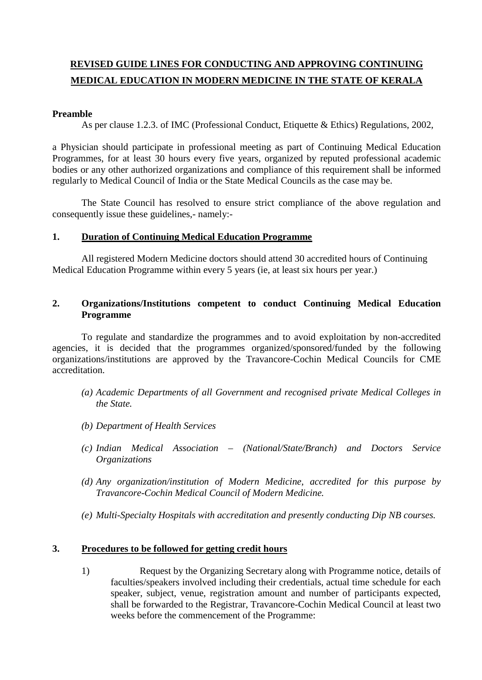# **REVISED GUIDE LINES FOR CONDUCTING AND APPROVING CONTINUING MEDICAL EDUCATION IN MODERN MEDICINE IN THE STATE OF KERALA**

### **Preamble**

As per clause 1.2.3. of IMC (Professional Conduct, Etiquette & Ethics) Regulations, 2002,

a Physician should participate in professional meeting as part of Continuing Medical Education Programmes, for at least 30 hours every five years, organized by reputed professional academic bodies or any other authorized organizations and compliance of this requirement shall be informed regularly to Medical Council of India or the State Medical Councils as the case may be.

The State Council has resolved to ensure strict compliance of the above regulation and consequently issue these guidelines,- namely:-

### **1. Duration of Continuing Medical Education Programme**

All registered Modern Medicine doctors should attend 30 accredited hours of Continuing Medical Education Programme within every 5 years (ie, at least six hours per year.)

### **2. Organizations/Institutions competent to conduct Continuing Medical Education Programme**

To regulate and standardize the programmes and to avoid exploitation by non-accredited agencies, it is decided that the programmes organized/sponsored/funded by the following organizations/institutions are approved by the Travancore-Cochin Medical Councils for CME accreditation.

- *(a) Academic Departments of all Government and recognised private Medical Colleges in the State.*
- *(b) Department of Health Services*
- *(c) Indian Medical Association – (National/State/Branch) and Doctors Service Organizations*
- *(d) Any organization/institution of Modern Medicine, accredited for this purpose by Travancore-Cochin Medical Council of Modern Medicine.*
- *(e) Multi-Specialty Hospitals with accreditation and presently conducting Dip NB courses.*

### **3. Procedures to be followed for getting credit hours**

1) Request by the Organizing Secretary along with Programme notice, details of faculties/speakers involved including their credentials, actual time schedule for each speaker, subject, venue, registration amount and number of participants expected, shall be forwarded to the Registrar, Travancore-Cochin Medical Council at least two weeks before the commencement of the Programme: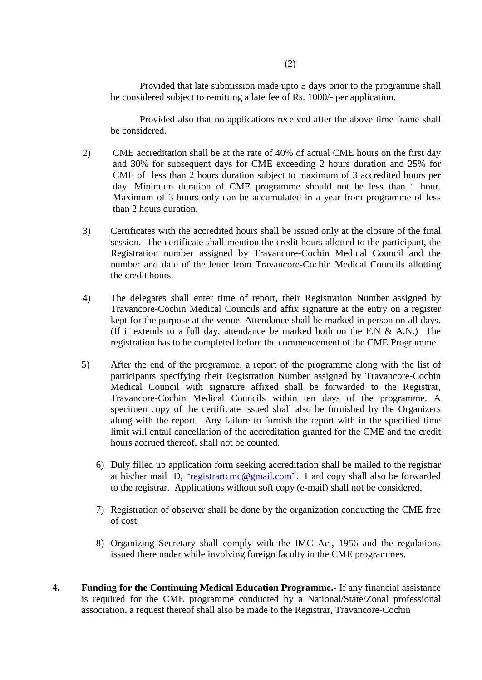Provided that late submission made upto 5 days prior to the programme shall be considered subject to remitting a late fee of Rs. 1000/- per application.

Provided also that no applications received after the above time frame shall be considered.

- 2) CME accreditation shall be at the rate of 40% of actual CME hours on the first day and 30% for subsequent days for CME exceeding 2 hours duration and 25% for CME of less than 2 hours duration subject to maximum of 3 accredited hours per day. Minimum duration of CME programme should not be less than 1 hour. Maximum of 3 hours only can be accumulated in a year from programme of less than 2 hours duration.
- 3) Certificates with the accredited hours shall be issued only at the closure of the final session. The certificate shall mention the credit hours allotted to the participant, the Registration number assigned by Travancore-Cochin Medical Council and the number and date of the letter from Travancore-Cochin Medical Councils allotting the credit hours.
- 4) The delegates shall enter time of report, their Registration Number assigned by Travancore-Cochin Medical Councils and affix signature at the entry on a register kept for the purpose at the venue. Attendance shall be marked in person on all days. (If it extends to a full day, attendance be marked both on the F.N  $\&$  A.N.) The registration has to be completed before the commencement of the CME Programme.
- 5) After the end of the programme, a report of the programme along with the list of participants specifying their Registration Number assigned by Travancore-Cochin Medical Council with signature affixed shall be forwarded to the Registrar, Travancore-Cochin Medical Councils within ten days of the programme. A specimen copy of the certificate issued shall also be furnished by the Organizers along with the report. Any failure to furnish the report with in the specified time limit will entail cancellation of the accreditation granted for the CME and the credit hours accrued thereof, shall not be counted.
	- 6) Duly filled up application form seeking accreditation shall be mailed to the registrar at his/her mail ID, ["registrartcmc@gmail.com"](mailto:registrartcmc@gmail.com). Hard copy shall also be forwarded to the registrar. Applications without soft copy (e-mail) shall not be considered.
	- 7) Registration of observer shall be done by the organization conducting the CME free of cost.
	- 8) Organizing Secretary shall comply with the IMC Act, 1956 and the regulations issued there under while involving foreign faculty in the CME programmes.
- **4. Funding for the Continuing Medical Education Programme.-** If any financial assistance is required for the CME programme conducted by a National/State/Zonal professional association, a request thereof shall also be made to the Registrar, Travancore-Cochin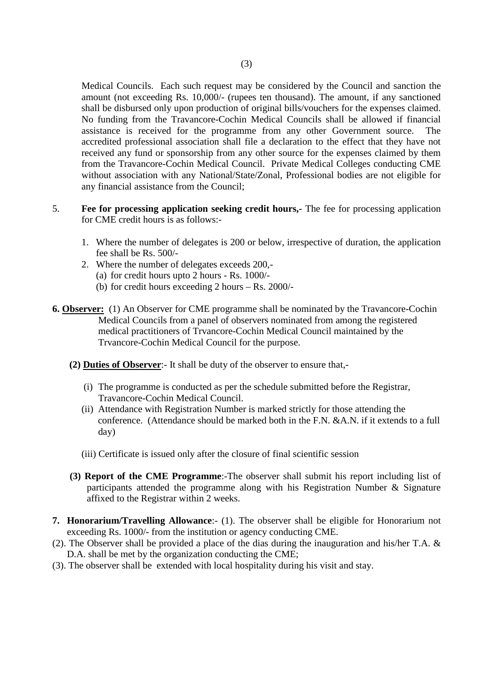Medical Councils. Each such request may be considered by the Council and sanction the amount (not exceeding Rs. 10,000/- (rupees ten thousand). The amount, if any sanctioned shall be disbursed only upon production of original bills/vouchers for the expenses claimed. No funding from the Travancore-Cochin Medical Councils shall be allowed if financial assistance is received for the programme from any other Government source. The accredited professional association shall file a declaration to the effect that they have not received any fund or sponsorship from any other source for the expenses claimed by them from the Travancore-Cochin Medical Council. Private Medical Colleges conducting CME without association with any National/State/Zonal, Professional bodies are not eligible for any financial assistance from the Council;

- 5. **Fee for processing application seeking credit hours,-** The fee for processing application for CME credit hours is as follows:-
	- 1. Where the number of delegates is 200 or below, irrespective of duration, the application fee shall be Rs. 500/-
	- 2. Where the number of delegates exceeds 200,- (a) for credit hours upto 2 hours - Rs. 1000/-
		- (b) for credit hours exceeding 2 hours Rs. 2000/-
- **6. Observer:** (1) An Observer for CME programme shall be nominated by the Travancore-Cochin Medical Councils from a panel of observers nominated from among the registered medical practitioners of Trvancore-Cochin Medical Council maintained by the Trvancore-Cochin Medical Council for the purpose.
	- **(2) Duties of Observer**:- It shall be duty of the observer to ensure that,-
		- (i) The programme is conducted as per the schedule submitted before the Registrar, Travancore-Cochin Medical Council.
		- (ii) Attendance with Registration Number is marked strictly for those attending the conference. (Attendance should be marked both in the F.N. &A.N. if it extends to a full day)
		- (iii) Certificate is issued only after the closure of final scientific session
	- **(3) Report of the CME Programme**:-The observer shall submit his report including list of participants attended the programme along with his Registration Number & Signature affixed to the Registrar within 2 weeks.
- **7. Honorarium/Travelling Allowance**:- (1). The observer shall be eligible for Honorarium not exceeding Rs. 1000/- from the institution or agency conducting CME.
- (2). The Observer shall be provided a place of the dias during the inauguration and his/her T.A. & D.A. shall be met by the organization conducting the CME;
- (3). The observer shall be extended with local hospitality during his visit and stay.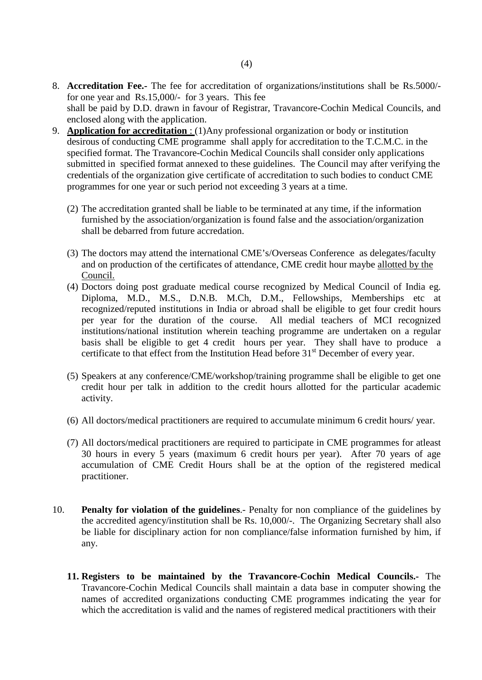- 8. **Accreditation Fee.-** The fee for accreditation of organizations/institutions shall be Rs.5000/ for one year and Rs.15,000/- for 3 years. This fee shall be paid by D.D. drawn in favour of Registrar, Travancore-Cochin Medical Councils, and enclosed along with the application.
- 9. **Application for accreditation** : (1)Any professional organization or body or institution desirous of conducting CME programme shall apply for accreditation to the T.C.M.C. in the specified format. The Travancore-Cochin Medical Councils shall consider only applications submitted in specified format annexed to these guidelines. The Council may after verifying the credentials of the organization give certificate of accreditation to such bodies to conduct CME programmes for one year or such period not exceeding 3 years at a time.
	- (2) The accreditation granted shall be liable to be terminated at any time, if the information furnished by the association/organization is found false and the association/organization shall be debarred from future accredation.
	- (3) The doctors may attend the international CME's/Overseas Conference as delegates/faculty and on production of the certificates of attendance, CME credit hour maybe allotted by the Council.
	- (4) Doctors doing post graduate medical course recognized by Medical Council of India eg. Diploma, M.D., M.S., D.N.B. M.Ch, D.M., Fellowships, Memberships etc at recognized/reputed institutions in India or abroad shall be eligible to get four credit hours per year for the duration of the course. All medial teachers of MCI recognized institutions/national institution wherein teaching programme are undertaken on a regular basis shall be eligible to get 4 credit hours per year. They shall have to produce a certificate to that effect from the Institution Head before 31<sup>st</sup> December of every year.
	- (5) Speakers at any conference/CME/workshop/training programme shall be eligible to get one credit hour per talk in addition to the credit hours allotted for the particular academic activity.
	- (6) All doctors/medical practitioners are required to accumulate minimum 6 credit hours/ year.
	- (7) All doctors/medical practitioners are required to participate in CME programmes for atleast 30 hours in every 5 years (maximum 6 credit hours per year). After 70 years of age accumulation of CME Credit Hours shall be at the option of the registered medical practitioner.
- 10. **Penalty for violation of the guidelines**.- Penalty for non compliance of the guidelines by the accredited agency/institution shall be Rs. 10,000/-. The Organizing Secretary shall also be liable for disciplinary action for non compliance/false information furnished by him, if any.
	- **11. Registers to be maintained by the Travancore-Cochin Medical Councils.-** The Travancore-Cochin Medical Councils shall maintain a data base in computer showing the names of accredited organizations conducting CME programmes indicating the year for which the accreditation is valid and the names of registered medical practitioners with their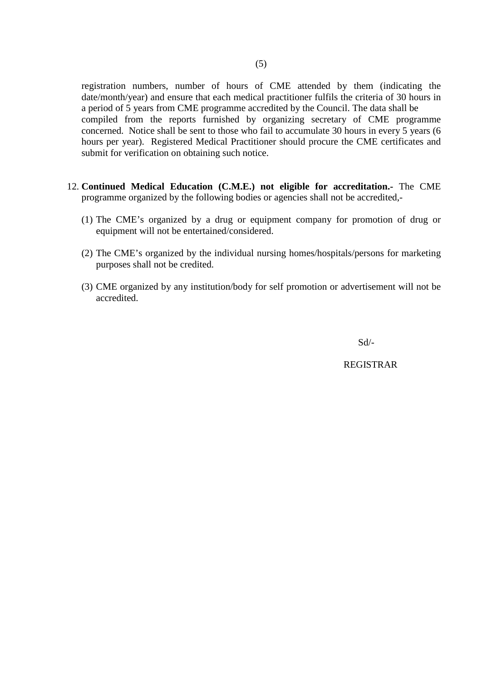registration numbers, number of hours of CME attended by them (indicating the date/month/year) and ensure that each medical practitioner fulfils the criteria of 30 hours in a period of 5 years from CME programme accredited by the Council. The data shall be compiled from the reports furnished by organizing secretary of CME programme concerned. Notice shall be sent to those who fail to accumulate 30 hours in every 5 years (6 hours per year). Registered Medical Practitioner should procure the CME certificates and submit for verification on obtaining such notice.

- 12. **Continued Medical Education (C.M.E.) not eligible for accreditation.-** The CME programme organized by the following bodies or agencies shall not be accredited,-
	- (1) The CME's organized by a drug or equipment company for promotion of drug or equipment will not be entertained/considered.
	- (2) The CME's organized by the individual nursing homes/hospitals/persons for marketing purposes shall not be credited.
	- (3) CME organized by any institution/body for self promotion or advertisement will not be accredited.

Sd/-

REGISTRAR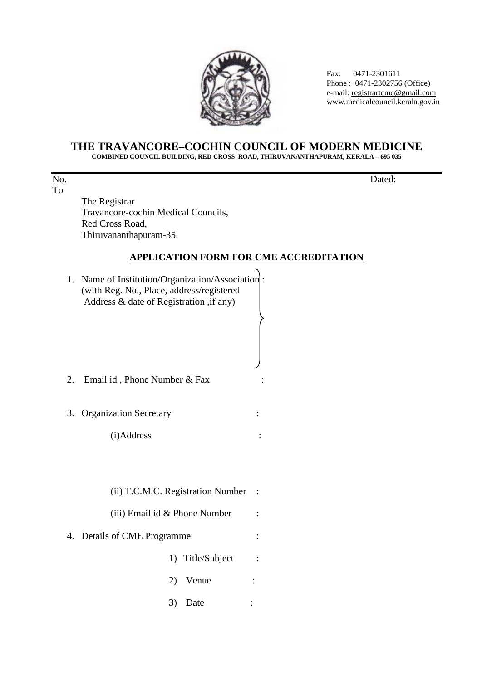

 Fax: 0471-2301611 Phone : 0471-2302756 (Office) e-mail[: registrartcmc@gmail.com](mailto:registrartcmc@gmail.com) www.medicalcouncil.kerala.gov.in

#### **THE TRAVANCORE–COCHIN COUNCIL OF MODERN MEDICINE COMBINED COUNCIL BUILDING, RED CROSS ROAD, THIRUVANANTHAPURAM, KERALA – 695 035**

No. Dated: To

The Registrar Travancore-cochin Medical Councils, Red Cross Road, Thiruvananthapuram-35.

## **APPLICATION FORM FOR CME ACCREDITATION**

1. Name of Institution/Organization/Association : (with Reg. No., Place, address/registered Address & date of Registration ,if any) 2. Email id , Phone Number & Fax : 3. Organization Secretary : (i)Address : (ii) T.C.M.C. Registration Number : (iii) Email id  $&$  Phone Number : 4. Details of CME Programme : 1) Title/Subject : 2) Venue : 3) Date :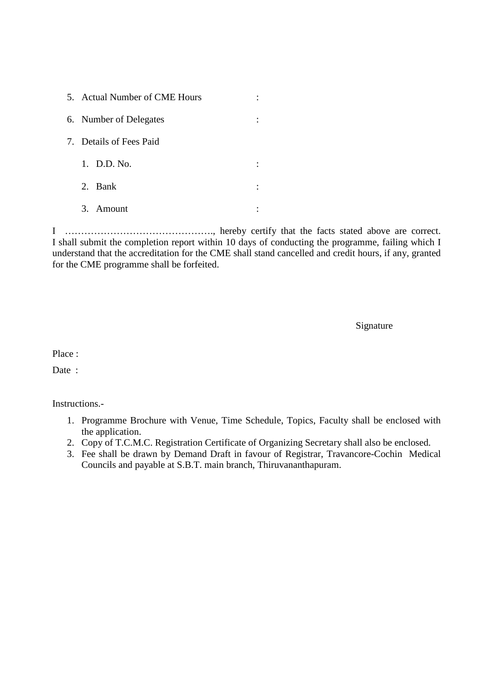| 5. Actual Number of CME Hours |  |  |  |
|-------------------------------|--|--|--|
| 6. Number of Delegates        |  |  |  |
| 7. Details of Fees Paid       |  |  |  |
| 1. D.D. No.                   |  |  |  |
| 2. Bank                       |  |  |  |
| 3. Amount                     |  |  |  |

I ………………………………………., hereby certify that the facts stated above are correct. I shall submit the completion report within 10 days of conducting the programme, failing which I understand that the accreditation for the CME shall stand cancelled and credit hours, if any, granted for the CME programme shall be forfeited.

Signature

Place :

Date :

Instructions.-

- 1. Programme Brochure with Venue, Time Schedule, Topics, Faculty shall be enclosed with the application.
- 2. Copy of T.C.M.C. Registration Certificate of Organizing Secretary shall also be enclosed.
- 3. Fee shall be drawn by Demand Draft in favour of Registrar, Travancore-Cochin Medical Councils and payable at S.B.T. main branch, Thiruvananthapuram.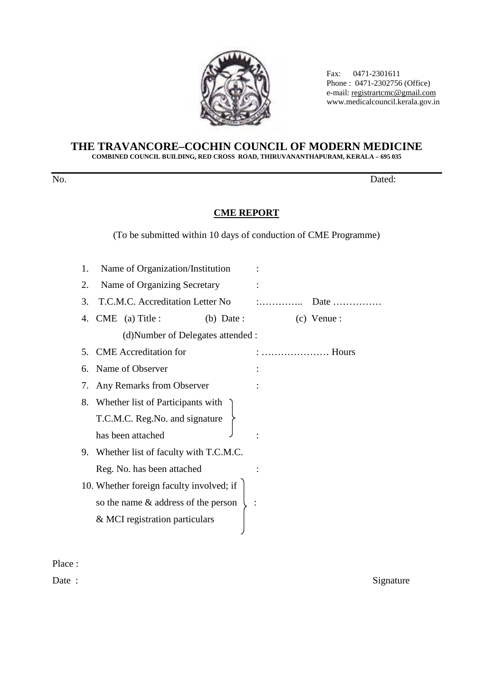

 Fax: 0471-2301611 Phone : 0471-2302756 (Office) e-mail: <u>registrartcmc@gmail.com</u>  $\bigwedge_{i=1}^{\infty} \bigotimes_{i=1}^{\infty} \bigotimes_{i=1}^{\infty} \bigotimes_{i=1}^{\infty} \bigotimes_{i=1}^{\infty} \bigotimes_{i=1}^{\infty} \bigotimes_{i=1}^{\infty} \bigotimes_{i=1}^{\infty} \bigotimes_{i=1}^{\infty} \bigotimes_{i=1}^{\infty} \bigotimes_{i=1}^{\infty} \bigotimes_{i=1}^{\infty} \bigotimes_{i=1}^{\infty} \bigotimes_{i=1}^{\infty} \bigotimes_{i=1}^{\infty} \bigotimes_{i=1}^$ 

#### **THE TRAVANCORE–COCHIN COUNCIL OF MODERN MEDICINE COMBINED COUNCIL BUILDING, RED CROSS ROAD, THIRUVANANTHAPURAM, KERALA – 695 035**

No. Dated:

## **CME REPORT**

(To be submitted within 10 days of conduction of CME Programme)

| 1.             | Name of Organization/Institution         |              |   |               |
|----------------|------------------------------------------|--------------|---|---------------|
| 2.             | Name of Organizing Secretary             |              |   |               |
| 3.             | T.C.M.C. Accreditation Letter No         |              | : | Date          |
|                | 4. CME (a) Title :                       | $(b)$ Date : |   | $(c)$ Venue : |
|                | (d) Number of Delegates attended :       |              |   |               |
| 5 <sub>1</sub> | <b>CME</b> Accreditation for             |              |   | Hours         |
| 6.             | Name of Observer                         |              |   |               |
|                | 7. Any Remarks from Observer             |              |   |               |
|                | 8. Whether list of Participants with     |              |   |               |
|                | T.C.M.C. Reg.No. and signature           |              |   |               |
|                | has been attached                        |              |   |               |
|                | 9. Whether list of faculty with T.C.M.C. |              |   |               |
|                | Reg. No. has been attached               |              |   |               |
|                | 10. Whether foreign faculty involved; if |              |   |               |
|                | so the name & address of the person      |              |   |               |
|                | & MCI registration particulars           |              |   |               |
|                |                                          |              |   |               |

Place :

Date : Signature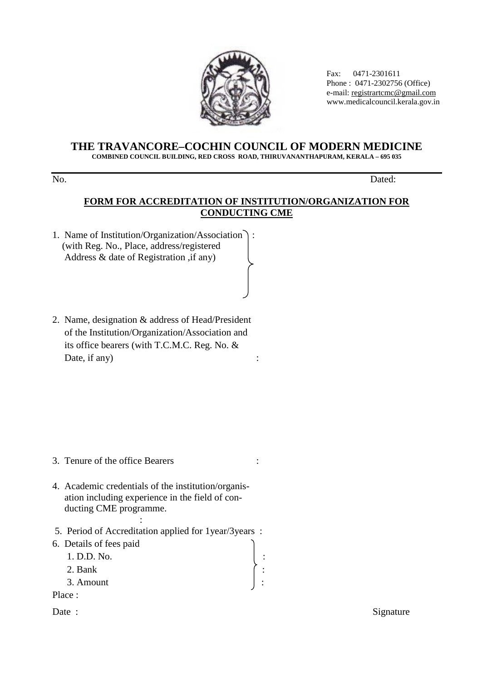

 Fax: 0471-2301611 Phone : 0471-2302756 (Office) e-mail[: registrartcmc@gmail.com](mailto:registrartcmc@gmail.com) www.medicalcouncil.kerala.gov.in

#### **THE TRAVANCORE–COCHIN COUNCIL OF MODERN MEDICINE COMBINED COUNCIL BUILDING, RED CROSS ROAD, THIRUVANANTHAPURAM, KERALA – 695 035**

No. Dated:

## **FORM FOR ACCREDITATION OF INSTITUTION/ORGANIZATION FOR CONDUCTING CME**

- 1. Name of Institution/Organization/Association : (with Reg. No., Place, address/registered Address & date of Registration ,if any)
- 2. Name, designation & address of Head/President of the Institution/Organization/Association and its office bearers (with T.C.M.C. Reg. No. & Date, if any) :

- 3. Tenure of the office Bearers :
- 4. Academic credentials of the institution/organis ation including experience in the field of con ducting CME programme.
- : 5. Period of Accreditation applied for 1year/3years :
- 6. Details of fees paid
	- 1. D.D. No. :
	- 2. Bank
	- 3. Amount :
- Place :
- 

Date : Signature